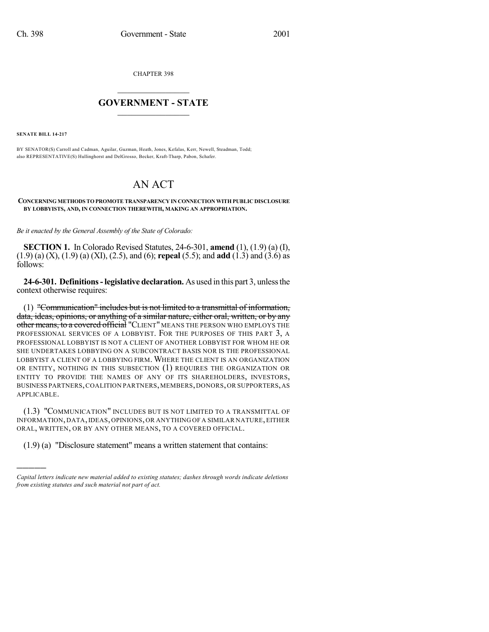CHAPTER 398

## $\overline{\phantom{a}}$  . The set of the set of the set of the set of the set of the set of the set of the set of the set of the set of the set of the set of the set of the set of the set of the set of the set of the set of the set o **GOVERNMENT - STATE**  $\_$

**SENATE BILL 14-217**

)))))

BY SENATOR(S) Carroll and Cadman, Aguilar, Guzman, Heath, Jones, Kefalas, Kerr, Newell, Steadman, Todd; also REPRESENTATIVE(S) Hullinghorst and DelGrosso, Becker, Kraft-Tharp, Pabon, Schafer.

## AN ACT

**CONCERNING METHODS TO PROMOTE TRANSPARENCY IN CONNECTION WITH PUBLIC DISCLOSURE BY LOBBYISTS, AND, IN CONNECTION THEREWITH, MAKING AN APPROPRIATION.**

*Be it enacted by the General Assembly of the State of Colorado:*

**SECTION 1.** In Colorado Revised Statutes, 24-6-301, **amend** (1), (1.9) (a) (I), (1.9) (a) (X), (1.9) (a) (XI), (2.5), and (6); **repeal** (5.5); and **add** (1.3) and (3.6) as follows:

**24-6-301. Definitions-legislative declaration.** As used in this part 3, unlessthe context otherwise requires:

(1) "Communication" includes but is not limited to a transmittal of information, data, ideas, opinions, or anything of a similar nature, either oral, written, or by any other means, to a covered official "CLIENT" MEANS THE PERSON WHO EMPLOYS THE PROFESSIONAL SERVICES OF A LOBBYIST. FOR THE PURPOSES OF THIS PART 3, A PROFESSIONAL LOBBYIST IS NOT A CLIENT OF ANOTHER LOBBYIST FOR WHOM HE OR SHE UNDERTAKES LOBBYING ON A SUBCONTRACT BASIS NOR IS THE PROFESSIONAL LOBBYIST A CLIENT OF A LOBBYING FIRM. WHERE THE CLIENT IS AN ORGANIZATION OR ENTITY, NOTHING IN THIS SUBSECTION (1) REQUIRES THE ORGANIZATION OR ENTITY TO PROVIDE THE NAMES OF ANY OF ITS SHAREHOLDERS, INVESTORS, BUSINESS PARTNERS,COALITION PARTNERS,MEMBERS,DONORS,OR SUPPORTERS,AS APPLICABLE.

(1.3) "COMMUNICATION" INCLUDES BUT IS NOT LIMITED TO A TRANSMITTAL OF INFORMATION, DATA,IDEAS, OPINIONS, OR ANYTHING OF A SIMILAR NATURE,EITHER ORAL, WRITTEN, OR BY ANY OTHER MEANS, TO A COVERED OFFICIAL.

(1.9) (a) "Disclosure statement" means a written statement that contains:

*Capital letters indicate new material added to existing statutes; dashes through words indicate deletions from existing statutes and such material not part of act.*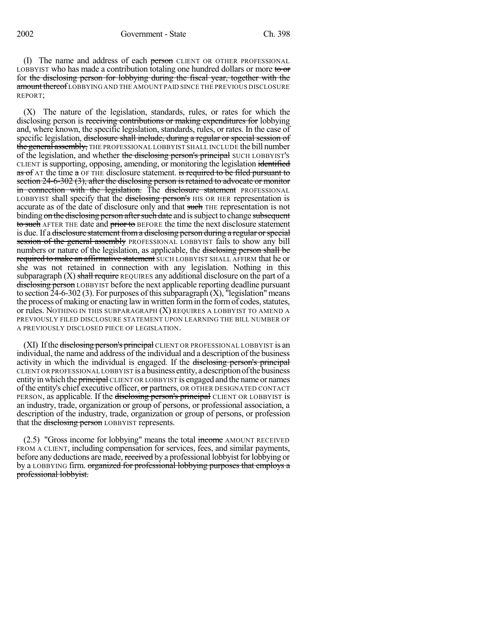(I) The name and address of each person CLIENT OR OTHER PROFESSIONAL LOBBYIST who has made a contribution totaling one hundred dollars or more to or for the disclosing person for lobbying during the fiscal year, together with the amount thereof LOBBYING AND THE AMOUNT PAID SINCE THE PREVIOUS DISCLOSURE REPORT;

(X) The nature of the legislation, standards, rules, or rates for which the disclosing person is receiving contributions or making expenditures for lobbying and, where known, the specific legislation, standards, rules, or rates. In the case of specific legislation, disclosure shall include, during a regular or special session of the general assembly, THE PROFESSIONAL LOBBYIST SHALL INCLUDE the bill number of the legislation, and whether the disclosing person's principal SUCH LOBBYIST's CLIENT issupporting, opposing, amending, or monitoring the legislation identified as of AT the time a OF THE disclosure statement. is required to be filed pursuant to section 24-6-302 (3), after the disclosing person is retained to advocate or monitor in connection with the legislation. The disclosure statement PROFESSIONAL LOBBYIST shall specify that the disclosing person's HIS OR HER representation is accurate as of the date of disclosure only and that such THE representation is not binding on the disclosing person after such date and is subject to change subsequent to such AFTER THE date and prior to BEFORE the time the next disclosure statement is due. If a <del>disclosure statement from a disclosing person during a regular or special</del> session of the general assembly PROFESSIONAL LOBBYIST fails to show any bill numbers or nature of the legislation, as applicable, the disclosing person shall be required to make an affirmative statement SUCH LOBBYIST SHALL AFFIRM that he or she was not retained in connection with any legislation. Nothing in this subparagraph  $(X)$  shall require REQUIRES any additional disclosure on the part of a disclosing person LOBBYIST before the next applicable reporting deadline pursuant to section  $24-6-302$  (3). For purposes of this subparagraph  $(X)$ , "legislation" means the process of making or enacting law in written form in the form of codes, statutes, or rules. NOTHING IN THIS SUBPARAGRAPH (X) REQUIRES A LOBBYIST TO AMEND A PREVIOUSLY FILED DISCLOSURE STATEMENT UPON LEARNING THE BILL NUMBER OF A PREVIOUSLY DISCLOSED PIECE OF LEGISLATION.

(XI) If the disclosing person's principal CLIENT OR PROFESSIONAL LOBBYIST is an individual, the name and address of the individual and a description of the business activity in which the individual is engaged. If the disclosing person's principal CLIENT ORPROFESSIONAL LOBBYIST is abusiness entity, adescriptionofthebusiness entity in which the **principal** CLIENT OR LOBBYIST is engaged and the name or names of the entity's chief executive officer, or partners, OR OTHER DESIGNATED CONTACT PERSON, as applicable. If the disclosing person's principal CLIENT OR LOBBYIST is an industry, trade, organization or group of persons, or professional association, a description of the industry, trade, organization or group of persons, or profession that the disclosing person LOBBYIST represents.

(2.5) "Gross income for lobbying" means the total income AMOUNT RECEIVED FROM A CLIENT, including compensation for services, fees, and similar payments, before any deductions are made, received by a professional lobbyist for lobbying or by a LOBBYING firm. organized for professional lobbying purposes that employs a professional lobbyist.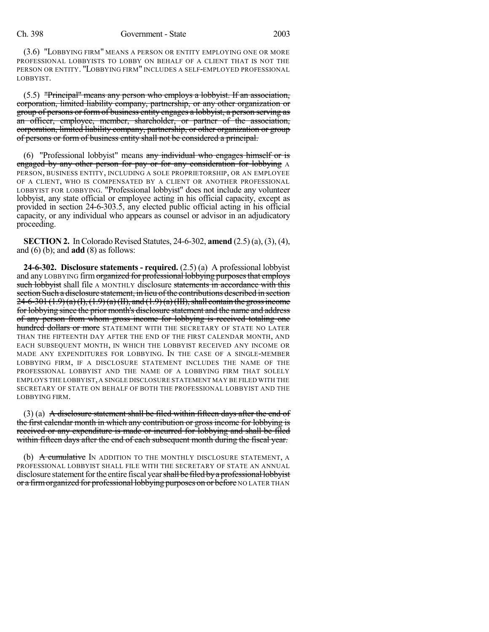## Ch. 398 Government - State 2003

(3.6) "LOBBYING FIRM" MEANS A PERSON OR ENTITY EMPLOYING ONE OR MORE PROFESSIONAL LOBBYISTS TO LOBBY ON BEHALF OF A CLIENT THAT IS NOT THE PERSON OR ENTITY. "LOBBYING FIRM" INCLUDES A SELF-EMPLOYED PROFESSIONAL LOBBYIST.

(5.5) "Principal" means any person who employs a lobbyist. If an association, corporation, limited liability company, partnership, or any other organization or group of persons or form of business entity engages a lobbyist, a person serving as an officer, employee, member, shareholder, or partner of the association, corporation, limited liability company, partnership, or other organization or group of persons or form of business entity shall not be considered a principal.

(6) "Professional lobbyist" means  $\frac{any \text{ individual who ergages himself or is}}{any \text{ times of the image}}$ engaged by any other person for pay or for any consideration for lobbying A PERSON, BUSINESS ENTITY, INCLUDING A SOLE PROPRIETORSHIP, OR AN EMPLOYEE OF A CLIENT, WHO IS COMPENSATED BY A CLIENT OR ANOTHER PROFESSIONAL LOBBYIST FOR LOBBYING. "Professional lobbyist" does not include any volunteer lobbyist, any state official or employee acting in his official capacity, except as provided in section 24-6-303.5, any elected public official acting in his official capacity, or any individual who appears as counsel or advisor in an adjudicatory proceeding.

**SECTION 2.** In Colorado Revised Statutes, 24-6-302, **amend** (2.5) (a), (3), (4), and (6) (b); and **add** (8) as follows:

**24-6-302. Disclosure statements - required.** (2.5) (a) A professional lobbyist and any LOBBYING firm organized for professional lobbying purposes that employs such lobbyist shall file A MONTHLY disclosure statements in accordance with this section Such a disclosure statement, in lieu of the contributions described in section  $24-6-301(1.9)(a)(I), (1.9)(a)(II), and (1.9)(a)(III), shall contain the gross income$ for lobbying since the prior month's disclosure statement and the name and address of any person from whom gross income for lobbying is received totaling one hundred dollars or more STATEMENT WITH THE SECRETARY OF STATE NO LATER THAN THE FIFTEENTH DAY AFTER THE END OF THE FIRST CALENDAR MONTH, AND EACH SUBSEQUENT MONTH, IN WHICH THE LOBBYIST RECEIVED ANY INCOME OR MADE ANY EXPENDITURES FOR LOBBYING. IN THE CASE OF A SINGLE-MEMBER LOBBYING FIRM, IF A DISCLOSURE STATEMENT INCLUDES THE NAME OF THE PROFESSIONAL LOBBYIST AND THE NAME OF A LOBBYING FIRM THAT SOLELY EMPLOYS THE LOBBYIST, A SINGLE DISCLOSURE STATEMENT MAY BE FILED WITH THE SECRETARY OF STATE ON BEHALF OF BOTH THE PROFESSIONAL LOBBYIST AND THE LOBBYING FIRM.

 $(3)$  (a) A disclosure statement shall be filed within fifteen days after the end of the first calendar month in which any contribution or gross income for lobbying is received or any expenditure is made or incurred for lobbying and shall be filed within fifteen days after the end of each subsequent month during the fiscal year.

(b) A cumulative IN ADDITION TO THE MONTHLY DISCLOSURE STATEMENT, A PROFESSIONAL LOBBYIST SHALL FILE WITH THE SECRETARY OF STATE AN ANNUAL disclosure statement for the entire fiscal year shall be filed by a professional lobbyist or a firm organized for professional lobbying purposes on or before NO LATER THAN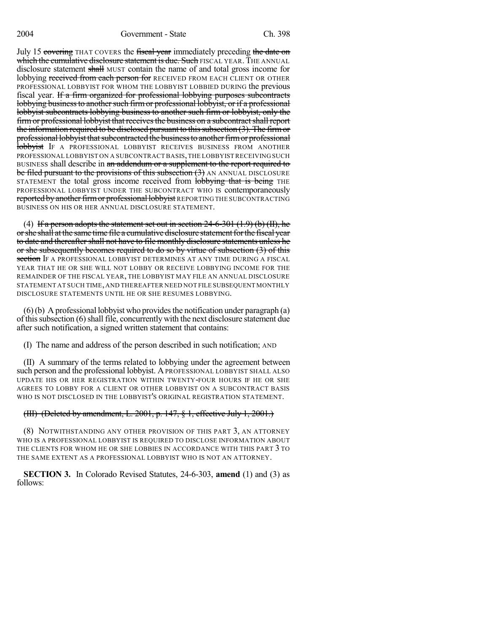July 15 covering THAT COVERS the fiscal year immediately preceding the date on which the cumulative disclosure statement is due. Such FISCAL YEAR. THE ANNUAL disclosure statement shall MUST contain the name of and total gross income for lobbying received from each person for RECEIVED FROM EACH CLIENT OR OTHER PROFESSIONAL LOBBYIST FOR WHOM THE LOBBYIST LOBBIED DURING the previous fiscal year. If a firm organized for professional lobbying purposes subcontracts lobbying business to another such firm or professional lobbyist, or if a professional lobbyist subcontracts lobbying business to another such firm or lobbyist, only the firm or professional lobbyist that receives the business on a subcontract shall report the information required to be disclosed pursuant to this subsection  $(3)$ . The firm or professional lobby ist that subcontracted the business to another firm or professional **lobbyist** IF A PROFESSIONAL LOBBYIST RECEIVES BUSINESS FROM ANOTHER PROFESSIONAL LOBBYIST ON A SUBCONTRACT BASIS,THE LOBBYISTRECEIVING SUCH BUSINESS shall describe in an addendum or a supplement to the report required to be filed pursuant to the provisions of this subsection (3) AN ANNUAL DISCLOSURE STATEMENT the total gross income received from lobbying that is being THE PROFESSIONAL LOBBYIST UNDER THE SUBCONTRACT WHO IS contemporaneously reported by another firm or professional lobbyist REPORTING THE SUBCONTRACTING BUSINESS ON HIS OR HER ANNUAL DISCLOSURE STATEMENT.

(4) If a person adopts the statement set out in section  $24-6-301$  (1.9) (b) (II), he or she shall at the same time file a cumulative disclosure statement for the fiscal year to date and thereafter shall not have to file monthly disclosure statements unless he or she subsequently becomes required to do so by virtue of subsection (3) of this section IF A PROFESSIONAL LOBBYIST DETERMINES AT ANY TIME DURING A FISCAL YEAR THAT HE OR SHE WILL NOT LOBBY OR RECEIVE LOBBYING INCOME FOR THE REMAINDER OF THE FISCAL YEAR, THE LOBBYIST MAY FILE AN ANNUAL DISCLOSURE STATEMENT AT SUCH TIME,AND THEREAFTER NEED NOT FILE SUBSEQUENT MONTHLY DISCLOSURE STATEMENTS UNTIL HE OR SHE RESUMES LOBBYING.

 $(6)(b)$  A professional lobbyist who provides the notification under paragraph  $(a)$ of this subsection  $(6)$  shall file, concurrently with the next disclosure statement due after such notification, a signed written statement that contains:

(I) The name and address of the person described in such notification; AND

(II) A summary of the terms related to lobbying under the agreement between such person and the professional lobbyist. A PROFESSIONAL LOBBYIST SHALL ALSO UPDATE HIS OR HER REGISTRATION WITHIN TWENTY-FOUR HOURS IF HE OR SHE AGREES TO LOBBY FOR A CLIENT OR OTHER LOBBYIST ON A SUBCONTRACT BASIS WHO IS NOT DISCLOSED IN THE LOBBYIST'S ORIGINAL REGISTRATION STATEMENT.

## (III) (Deleted by amendment, L. 2001, p. 147,  $\S$  1, effective July 1, 2001.)

(8) NOTWITHSTANDING ANY OTHER PROVISION OF THIS PART 3, AN ATTORNEY WHO IS A PROFESSIONAL LOBBYIST IS REQUIRED TO DISCLOSE INFORMATION ABOUT THE CLIENTS FOR WHOM HE OR SHE LOBBIES IN ACCORDANCE WITH THIS PART 3 TO THE SAME EXTENT AS A PROFESSIONAL LOBBYIST WHO IS NOT AN ATTORNEY.

**SECTION 3.** In Colorado Revised Statutes, 24-6-303, **amend** (1) and (3) as follows: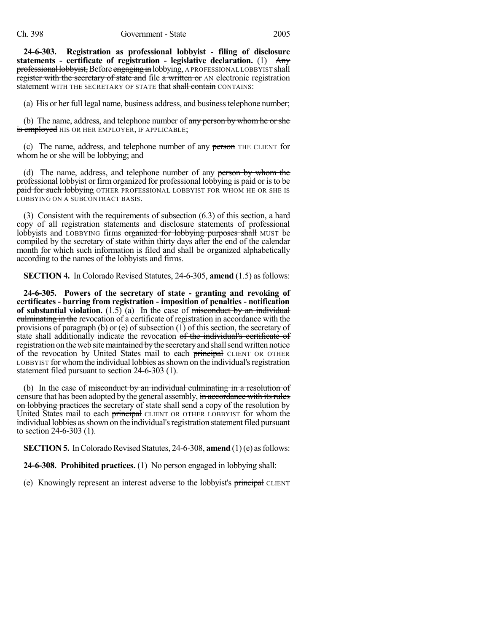**24-6-303. Registration as professional lobbyist - filing of disclosure statements - certificate of registration - legislative declaration.** (1) Any professional lobbyist, Before engaging in lobbying, A PROFESSIONALLOBBYIST shall register with the secretary of state and file a written or AN electronic registration statement WITH THE SECRETARY OF STATE that shall contain CONTAINS:

(a) His or her full legal name, business address, and businesstelephone number;

(b) The name, address, and telephone number of any person by whom he or she is employed HIS OR HER EMPLOYER, IF APPLICABLE;

(c) The name, address, and telephone number of any person THE CLIENT for whom he or she will be lobbying; and

(d) The name, address, and telephone number of any person by whom the professional lobbyist or firm organized for professional lobbying is paid or isto be paid for such lobbying OTHER PROFESSIONAL LOBBYIST FOR WHOM HE OR SHE IS LOBBYING ON A SUBCONTRACT BASIS.

(3) Consistent with the requirements of subsection (6.3) of this section, a hard copy of all registration statements and disclosure statements of professional lobbyists and LOBBYING firms organized for lobbying purposes shall MUST be compiled by the secretary of state within thirty days after the end of the calendar month for which such information is filed and shall be organized alphabetically according to the names of the lobbyists and firms.

**SECTION 4.** In Colorado Revised Statutes, 24-6-305, **amend** (1.5) as follows:

**24-6-305. Powers of the secretary of state - granting and revoking of certificates - barring from registration - imposition of penalties - notification of substantial violation.** (1.5) (a) In the case of misconduct by an individual culminating in the revocation of a certificate of registration in accordance with the provisions of paragraph (b) or (e) of subsection (1) of this section, the secretary of state shall additionally indicate the revocation of the individual's certificate of registration on the web site maintained by the secretary and shall send written notice of the revocation by United States mail to each principal CLIENT OR OTHER LOBBYIST for whomthe individual lobbies asshown on the individual'sregistration statement filed pursuant to section 24-6-303 (1).

(b) In the case of misconduct by an individual culminating in a resolution of censure that has been adopted by the general assembly, in accordance with its rules on lobbying practices the secretary of state shall send a copy of the resolution by United States mail to each **principal** CLIENT OR OTHER LOBBYIST for whom the individual lobbies as shown on the individual's registration statement filed pursuant to section 24-6-303 (1).

**SECTION 5.** In Colorado Revised Statutes, 24-6-308, **amend** (1)(e) as follows:

**24-6-308. Prohibited practices.** (1) No person engaged in lobbying shall:

(e) Knowingly represent an interest adverse to the lobbyist's principal CLIENT